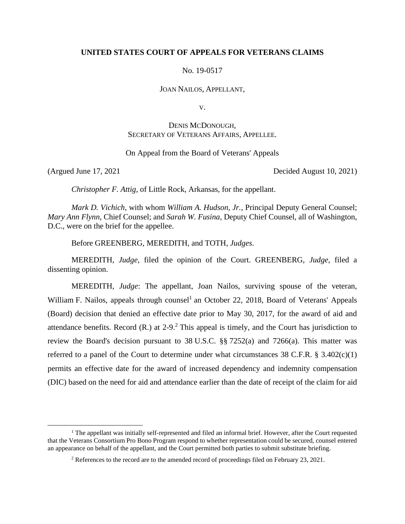# **UNITED STATES COURT OF APPEALS FOR VETERANS CLAIMS**

No. 19-0517

JOAN NAILOS, APPELLANT,

V.

# DENIS MCDONOUGH, SECRETARY OF VETERANS AFFAIRS, APPELLEE.

## On Appeal from the Board of Veterans' Appeals

(Argued June 17, 2021 Decided August 10, 2021)

*Christopher F. Attig*, of Little Rock, Arkansas, for the appellant.

*Mark D. Vichich*, with whom *William A. Hudson, Jr.*, Principal Deputy General Counsel; *Mary Ann Flynn*, Chief Counsel; and *Sarah W. Fusina*, Deputy Chief Counsel, all of Washington, D.C., were on the brief for the appellee.

Before GREENBERG, MEREDITH, and TOTH, *Judges*.

MEREDITH, *Judge*, filed the opinion of the Court. GREENBERG, *Judge*, filed a dissenting opinion.

MEREDITH, *Judge*: The appellant, Joan Nailos, surviving spouse of the veteran, William F. Nailos, appeals through counsel<sup>1</sup> an October 22, 2018, Board of Veterans' Appeals (Board) decision that denied an effective date prior to May 30, 2017, for the award of aid and attendance benefits. Record  $(R)$  at 2-9.<sup>2</sup> This appeal is timely, and the Court has jurisdiction to review the Board's decision pursuant to 38 U.S.C. §§ 7252(a) and 7266(a). This matter was referred to a panel of the Court to determine under what circumstances 38 C.F.R. § 3.402(c)(1) permits an effective date for the award of increased dependency and indemnity compensation (DIC) based on the need for aid and attendance earlier than the date of receipt of the claim for aid

<sup>&</sup>lt;sup>1</sup> The appellant was initially self-represented and filed an informal brief. However, after the Court requested that the Veterans Consortium Pro Bono Program respond to whether representation could be secured, counsel entered an appearance on behalf of the appellant, and the Court permitted both parties to submit substitute briefing.

<sup>&</sup>lt;sup>2</sup> References to the record are to the amended record of proceedings filed on February 23, 2021.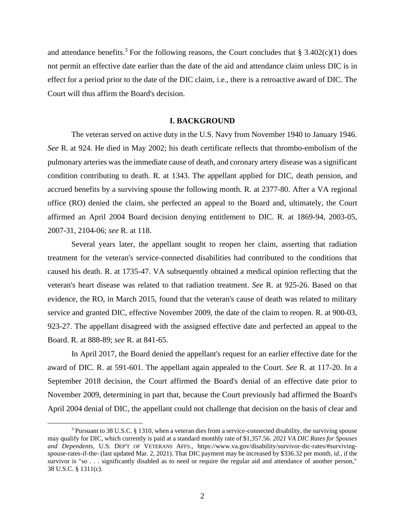and attendance benefits.<sup>3</sup> For the following reasons, the Court concludes that § 3.402 $(c)(1)$  does not permit an effective date earlier than the date of the aid and attendance claim unless DIC is in effect for a period prior to the date of the DIC claim, i.e., there is a retroactive award of DIC. The Court will thus affirm the Board's decision.

### **I. BACKGROUND**

The veteran served on active duty in the U.S. Navy from November 1940 to January 1946. *See* R. at 924. He died in May 2002; his death certificate reflects that thrombo-embolism of the pulmonary arteries was the immediate cause of death, and coronary artery disease was a significant condition contributing to death. R. at 1343. The appellant applied for DIC, death pension, and accrued benefits by a surviving spouse the following month. R. at 2377-80. After a VA regional office (RO) denied the claim, she perfected an appeal to the Board and, ultimately, the Court affirmed an April 2004 Board decision denying entitlement to DIC. R. at 1869-94, 2003-05, 2007-31, 2104-06; *see* R. at 118.

Several years later, the appellant sought to reopen her claim, asserting that radiation treatment for the veteran's service-connected disabilities had contributed to the conditions that caused his death. R. at 1735-47. VA subsequently obtained a medical opinion reflecting that the veteran's heart disease was related to that radiation treatment. *See* R. at 925-26. Based on that evidence, the RO, in March 2015, found that the veteran's cause of death was related to military service and granted DIC, effective November 2009, the date of the claim to reopen. R. at 900-03, 923-27. The appellant disagreed with the assigned effective date and perfected an appeal to the Board. R. at 888-89; *see* R. at 841-65.

In April 2017, the Board denied the appellant's request for an earlier effective date for the award of DIC. R. at 591-601. The appellant again appealed to the Court. *See* R. at 117-20. In a September 2018 decision, the Court affirmed the Board's denial of an effective date prior to November 2009, determining in part that, because the Court previously had affirmed the Board's April 2004 denial of DIC, the appellant could not challenge that decision on the basis of clear and

<sup>3</sup> Pursuant to 38 U.S.C. § 1310, when a veteran dies from a service-connected disability, the surviving spouse may qualify for DIC, which currently is paid at a standard monthly rate of \$1,357.56. *2021 VA DIC Rates for Spouses and Dependents*, U.S. DEP'T OF VETERANS AFFS., [https://www.va.gov/disability/survivor-dic-rates/#surviving](https://www.va.gov/disability/survivor-dic-rates/#surviving-spouse-rates-if-the-)[spouse-rates-if-the-](https://www.va.gov/disability/survivor-dic-rates/#surviving-spouse-rates-if-the-) (last updated Mar. 2, 2021). That DIC payment may be increased by \$336.32 per month, *id.*, if the survivor is "so . . . significantly disabled as to need or require the regular aid and attendance of another person," 38 U.S.C. § 1311(c).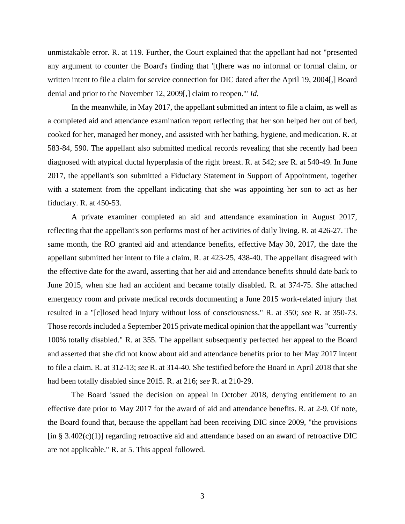unmistakable error. R. at 119. Further, the Court explained that the appellant had not "presented any argument to counter the Board's finding that '[t]here was no informal or formal claim, or written intent to file a claim for service connection for DIC dated after the April 19, 2004[,] Board denial and prior to the November 12, 2009[,] claim to reopen.'" *Id.*

In the meanwhile, in May 2017, the appellant submitted an intent to file a claim, as well as a completed aid and attendance examination report reflecting that her son helped her out of bed, cooked for her, managed her money, and assisted with her bathing, hygiene, and medication. R. at 583-84, 590. The appellant also submitted medical records revealing that she recently had been diagnosed with atypical ductal hyperplasia of the right breast. R. at 542; *see* R. at 540-49. In June 2017, the appellant's son submitted a Fiduciary Statement in Support of Appointment, together with a statement from the appellant indicating that she was appointing her son to act as her fiduciary. R. at 450-53.

A private examiner completed an aid and attendance examination in August 2017, reflecting that the appellant's son performs most of her activities of daily living. R. at 426-27. The same month, the RO granted aid and attendance benefits, effective May 30, 2017, the date the appellant submitted her intent to file a claim. R. at 423-25, 438-40. The appellant disagreed with the effective date for the award, asserting that her aid and attendance benefits should date back to June 2015, when she had an accident and became totally disabled. R. at 374-75. She attached emergency room and private medical records documenting a June 2015 work-related injury that resulted in a "[c]losed head injury without loss of consciousness." R. at 350; *see* R. at 350-73. Those records included a September 2015 private medical opinion that the appellant was "currently 100% totally disabled." R. at 355. The appellant subsequently perfected her appeal to the Board and asserted that she did not know about aid and attendance benefits prior to her May 2017 intent to file a claim. R. at 312-13; *see* R. at 314-40. She testified before the Board in April 2018 that she had been totally disabled since 2015. R. at 216; *see* R. at 210-29.

The Board issued the decision on appeal in October 2018, denying entitlement to an effective date prior to May 2017 for the award of aid and attendance benefits. R. at 2-9. Of note, the Board found that, because the appellant had been receiving DIC since 2009, "the provisions [in § 3.402(c)(1)] regarding retroactive aid and attendance based on an award of retroactive DIC are not applicable." R. at 5. This appeal followed.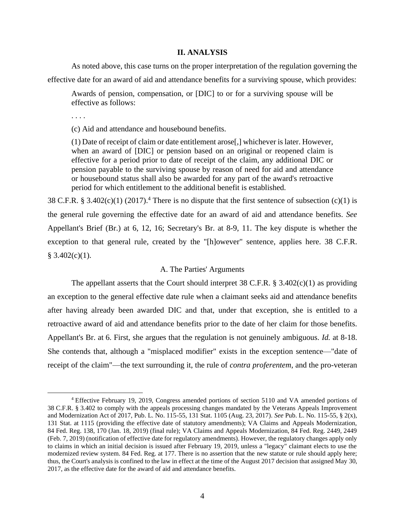## **II. ANALYSIS**

As noted above, this case turns on the proper interpretation of the regulation governing the effective date for an award of aid and attendance benefits for a surviving spouse, which provides:

Awards of pension, compensation, or [DIC] to or for a surviving spouse will be effective as follows:

. . . .

(c) Aid and attendance and housebound benefits.

(1) Date of receipt of claim or date entitlement arose[,] whichever is later. However, when an award of [DIC] or pension based on an original or reopened claim is effective for a period prior to date of receipt of the claim, any additional DIC or pension payable to the surviving spouse by reason of need for aid and attendance or housebound status shall also be awarded for any part of the award's retroactive period for which entitlement to the additional benefit is established.

38 C.F.R. § 3.402 $(c)(1)$  (2017).<sup>4</sup> There is no dispute that the first sentence of subsection  $(c)(1)$  is the general rule governing the effective date for an award of aid and attendance benefits. *See*  Appellant's Brief (Br.) at 6, 12, 16; Secretary's Br. at 8-9, 11. The key dispute is whether the exception to that general rule, created by the "[h]owever" sentence, applies here. 38 C.F.R.  $§ 3.402(c)(1).$ 

# A. The Parties' Arguments

The appellant asserts that the Court should interpret 38 C.F.R.  $\S$  3.402(c)(1) as providing an exception to the general effective date rule when a claimant seeks aid and attendance benefits after having already been awarded DIC and that, under that exception, she is entitled to a retroactive award of aid and attendance benefits prior to the date of her claim for those benefits. Appellant's Br. at 6. First, she argues that the regulation is not genuinely ambiguous. *Id.* at 8-18. She contends that, although a "misplaced modifier" exists in the exception sentence—"date of receipt of the claim"—the text surrounding it, the rule of *contra proferentem*, and the pro-veteran

<sup>4</sup> Effective February 19, 2019, Congress amended portions of section 5110 and VA amended portions of 38 C.F.R. § 3.402 to comply with the appeals processing changes mandated by the Veterans Appeals Improvement and Modernization Act of 2017, Pub. L. No. 115-55, 131 Stat. 1105 (Aug. 23, 2017). *See* Pub. L. No. 115-55, § 2(x), 131 Stat. at 1115 (providing the effective date of statutory amendments); VA Claims and Appeals Modernization, 84 Fed. Reg. 138, 170 (Jan. 18, 2019) (final rule); VA Claims and Appeals Modernization, 84 Fed. Reg. 2449, 2449 (Feb. 7, 2019) (notification of effective date for regulatory amendments). However, the regulatory changes apply only to claims in which an initial decision is issued after February 19, 2019, unless a "legacy" claimant elects to use the modernized review system. 84 Fed. Reg. at 177. There is no assertion that the new statute or rule should apply here; thus, the Court's analysis is confined to the law in effect at the time of the August 2017 decision that assigned May 30, 2017, as the effective date for the award of aid and attendance benefits.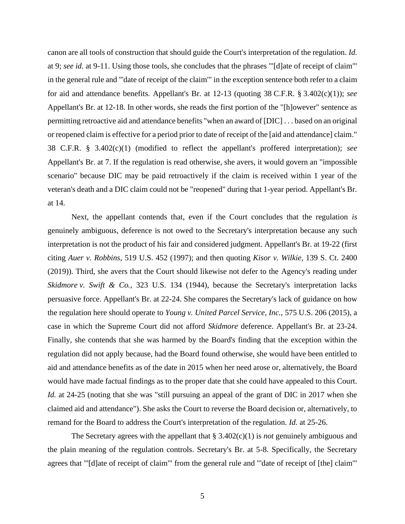canon are all tools of construction that should guide the Court's interpretation of the regulation. *Id.* at 9; *see id.* at 9-11. Using those tools, she concludes that the phrases "'[d]ate of receipt of claim'" in the general rule and "'date of receipt of the claim'" in the exception sentence both refer to a claim for aid and attendance benefits. Appellant's Br. at 12-13 (quoting 38 C.F.R. § 3.402(c)(1)); *see*  Appellant's Br. at 12-18. In other words, she reads the first portion of the "[h]owever" sentence as permitting retroactive aid and attendance benefits "when an award of [DIC] . . . based on an original or reopened claim is effective for a period prior to date of receipt of the [aid and attendance] claim." 38 C.F.R. § 3.402(c)(1) (modified to reflect the appellant's proffered interpretation); *see* Appellant's Br. at 7. If the regulation is read otherwise, she avers, it would govern an "impossible scenario" because DIC may be paid retroactively if the claim is received within 1 year of the veteran's death and a DIC claim could not be "reopened" during that 1-year period. Appellant's Br. at 14.

Next, the appellant contends that, even if the Court concludes that the regulation *is* genuinely ambiguous, deference is not owed to the Secretary's interpretation because any such interpretation is not the product of his fair and considered judgment. Appellant's Br. at 19-22 (first citing *Auer v. Robbins*, 519 U.S. 452 (1997); and then quoting *Kisor v. Wilkie*, 139 S. Ct. 2400 (2019)). Third, she avers that the Court should likewise not defer to the Agency's reading under *Skidmore v. Swift & Co.*, 323 U.S. 134 (1944), because the Secretary's interpretation lacks persuasive force. Appellant's Br. at 22-24. She compares the Secretary's lack of guidance on how the regulation here should operate to *Young v. United Parcel Service*, *Inc.*, 575 U.S. 206 (2015), a case in which the Supreme Court did not afford *Skidmore* deference. Appellant's Br. at 23-24. Finally, she contends that she was harmed by the Board's finding that the exception within the regulation did not apply because, had the Board found otherwise, she would have been entitled to aid and attendance benefits as of the date in 2015 when her need arose or, alternatively, the Board would have made factual findings as to the proper date that she could have appealed to this Court. *Id.* at 24-25 (noting that she was "still pursuing an appeal of the grant of DIC in 2017 when she claimed aid and attendance"). She asks the Court to reverse the Board decision or, alternatively, to remand for the Board to address the Court's interpretation of the regulation. *Id.* at 25-26.

The Secretary agrees with the appellant that § 3.402(c)(1) is *not* genuinely ambiguous and the plain meaning of the regulation controls. Secretary's Br. at 5-8. Specifically, the Secretary agrees that "'[d]ate of receipt of claim'" from the general rule and "'date of receipt of [the] claim'"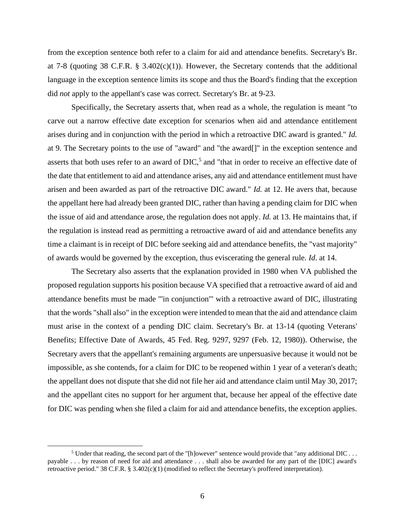from the exception sentence both refer to a claim for aid and attendance benefits. Secretary's Br. at 7-8 (quoting 38 C.F.R. § 3.402(c)(1)). However, the Secretary contends that the additional language in the exception sentence limits its scope and thus the Board's finding that the exception did *not* apply to the appellant's case was correct. Secretary's Br. at 9-23.

Specifically, the Secretary asserts that, when read as a whole, the regulation is meant "to carve out a narrow effective date exception for scenarios when aid and attendance entitlement arises during and in conjunction with the period in which a retroactive DIC award is granted." *Id.* at 9. The Secretary points to the use of "award" and "the award[]" in the exception sentence and asserts that both uses refer to an award of  $DIC<sup>5</sup>$ , and "that in order to receive an effective date of the date that entitlement to aid and attendance arises, any aid and attendance entitlement must have arisen and been awarded as part of the retroactive DIC award." *Id.* at 12. He avers that, because the appellant here had already been granted DIC, rather than having a pending claim for DIC when the issue of aid and attendance arose, the regulation does not apply. *Id.* at 13. He maintains that, if the regulation is instead read as permitting a retroactive award of aid and attendance benefits any time a claimant is in receipt of DIC before seeking aid and attendance benefits, the "vast majority" of awards would be governed by the exception, thus eviscerating the general rule. *Id*. at 14.

The Secretary also asserts that the explanation provided in 1980 when VA published the proposed regulation supports his position because VA specified that a retroactive award of aid and attendance benefits must be made "'in conjunction'" with a retroactive award of DIC, illustrating that the words "shall also" in the exception were intended to mean that the aid and attendance claim must arise in the context of a pending DIC claim. Secretary's Br. at 13-14 (quoting Veterans' Benefits; Effective Date of Awards, 45 Fed. Reg. 9297, 9297 (Feb. 12, 1980)). Otherwise, the Secretary avers that the appellant's remaining arguments are unpersuasive because it would not be impossible, as she contends, for a claim for DIC to be reopened within 1 year of a veteran's death; the appellant does not dispute that she did not file her aid and attendance claim until May 30, 2017; and the appellant cites no support for her argument that, because her appeal of the effective date for DIC was pending when she filed a claim for aid and attendance benefits, the exception applies.

<sup>&</sup>lt;sup>5</sup> Under that reading, the second part of the "[h]owever" sentence would provide that "any additional DIC . . . payable . . . by reason of need for aid and attendance . . . shall also be awarded for any part of the [DIC] award's retroactive period." 38 C.F.R. § 3.402(c)(1) (modified to reflect the Secretary's proffered interpretation).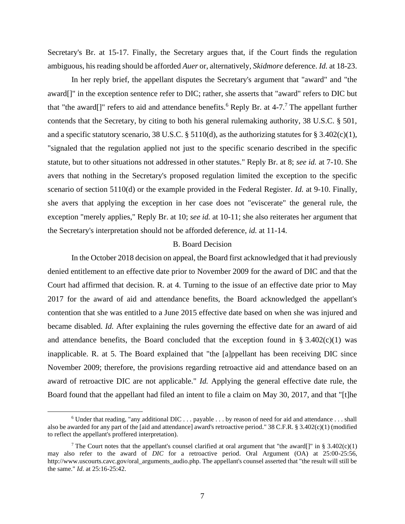Secretary's Br. at 15-17. Finally, the Secretary argues that, if the Court finds the regulation ambiguous, his reading should be afforded *Auer* or, alternatively, *Skidmore* deference. *Id.* at 18-23.

In her reply brief, the appellant disputes the Secretary's argument that "award" and "the award[]" in the exception sentence refer to DIC; rather, she asserts that "award" refers to DIC but that "the award<sup>[]"</sup> refers to aid and attendance benefits.<sup>6</sup> Reply Br. at 4-7.<sup>7</sup> The appellant further contends that the Secretary, by citing to both his general rulemaking authority, 38 U.S.C. § 501, and a specific statutory scenario, 38 U.S.C. § 5110(d), as the authorizing statutes for § 3.402(c)(1), "signaled that the regulation applied not just to the specific scenario described in the specific statute, but to other situations not addressed in other statutes." Reply Br. at 8; *see id.* at 7-10. She avers that nothing in the Secretary's proposed regulation limited the exception to the specific scenario of section 5110(d) or the example provided in the Federal Register. *Id.* at 9-10. Finally, she avers that applying the exception in her case does not "eviscerate" the general rule, the exception "merely applies," Reply Br. at 10; *see id.* at 10-11; she also reiterates her argument that the Secretary's interpretation should not be afforded deference, *id.* at 11-14.

# B. Board Decision

In the October 2018 decision on appeal, the Board first acknowledged that it had previously denied entitlement to an effective date prior to November 2009 for the award of DIC and that the Court had affirmed that decision. R. at 4. Turning to the issue of an effective date prior to May 2017 for the award of aid and attendance benefits, the Board acknowledged the appellant's contention that she was entitled to a June 2015 effective date based on when she was injured and became disabled. *Id.* After explaining the rules governing the effective date for an award of aid and attendance benefits, the Board concluded that the exception found in  $\S 3.402(c)(1)$  was inapplicable. R. at 5. The Board explained that "the [a]ppellant has been receiving DIC since November 2009; therefore, the provisions regarding retroactive aid and attendance based on an award of retroactive DIC are not applicable." *Id.* Applying the general effective date rule, the Board found that the appellant had filed an intent to file a claim on May 30, 2017, and that "[t]he

 $6$  Under that reading, "any additional DIC . . . payable . . . by reason of need for aid and attendance . . . shall also be awarded for any part of the [aid and attendance] award's retroactive period." 38 C.F.R. § 3.402(c)(1) (modified to reflect the appellant's proffered interpretation).

<sup>&</sup>lt;sup>7</sup> The Court notes that the appellant's counsel clarified at oral argument that "the award[]" in § 3.402(c)(1) may also refer to the award of *DIC* for a retroactive period. Oral Argument (OA) at 25:00-25:56, http://www.uscourts.cavc.gov/oral\_arguments\_audio.php. The appellant's counsel asserted that "the result will still be the same." *Id*. at 25:16-25:42.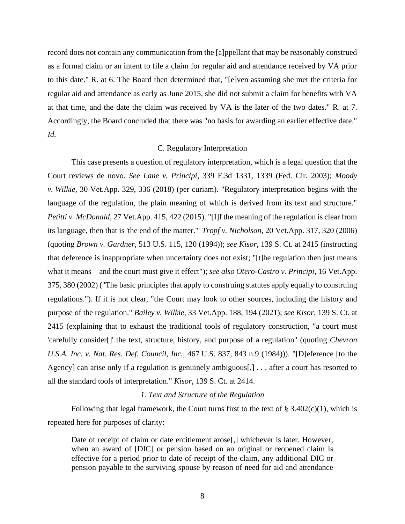record does not contain any communication from the [a]ppellant that may be reasonably construed as a formal claim or an intent to file a claim for regular aid and attendance received by VA prior to this date." R. at 6. The Board then determined that, "[e]ven assuming she met the criteria for regular aid and attendance as early as June 2015, she did not submit a claim for benefits with VA at that time, and the date the claim was received by VA is the later of the two dates." R. at 7. Accordingly, the Board concluded that there was "no basis for awarding an earlier effective date." *Id.*

## C. Regulatory Interpretation

This case presents a question of regulatory interpretation, which is a legal question that the Court reviews de novo. *See Lane v. Principi*, 339 F.3d 1331, 1339 (Fed. Cir. 2003); *Moody v. Wilkie*, 30 Vet.App. 329, 336 (2018) (per curiam). "Regulatory interpretation begins with the language of the regulation, the plain meaning of which is derived from its text and structure." *Petitti v. McDonald*, 27 Vet.App. 415, 422 (2015). "[I]f the meaning of the regulation is clear from its language, then that is 'the end of the matter.'" *Tropf v. Nicholson*, 20 Vet.App. 317, 320 (2006) (quoting *Brown v. Gardner*, [513 U.S. 115, 120 \(1994\)\)](https://1.next.westlaw.com/Link/Document/FullText?findType=Y&serNum=1994243325&pubNum=708&originatingDoc=Ib30adf34338611dbbffafa490ee528f6&refType=RP&originationContext=document&transitionType=DocumentItem&contextData=(sc.DocLink)); *see Kisor*, 139 S. Ct. at 2415 (instructing that deference is inappropriate when uncertainty does not exist; "[t]he regulation then just means what it means—and the court must give it effect"); *see also [Otero-Castro](https://1.next.westlaw.com/Link/Document/FullText?findType=Y&serNum=2002635250&pubNum=0000463&originatingDoc=I4c7fb3f21f9211e2b343c837631e1747&refType=RP&fi=co_pp_sp_463_380&originationContext=document&transitionType=DocumentItem&contextData=(sc.Keycite)#co_pp_sp_463_380) v. Principi*, 16 Vet.App. [375, 380](https://1.next.westlaw.com/Link/Document/FullText?findType=Y&serNum=2002635250&pubNum=0000463&originatingDoc=I4c7fb3f21f9211e2b343c837631e1747&refType=RP&fi=co_pp_sp_463_380&originationContext=document&transitionType=DocumentItem&contextData=(sc.Keycite)#co_pp_sp_463_380) (2002) ("The basic principles that apply to construing statutes apply equally to construing regulations."). If it is not clear, "the Court may look to other sources, including the history and purpose of the regulation." *Bailey v. Wilkie*, 33 Vet.App. 188, 194 (2021); *see Kisor*, 139 S. Ct. at 2415 (explaining that to exhaust the traditional tools of regulatory construction, "a court must 'carefully consider[]' the text, structure, history, and purpose of a regulation" (quoting *Chevron U.S.A. Inc. v. Nat. Res. Def. Council, Inc.*, 467 U.S. 837, 843 n.9 (1984))). "[D]eference [to the Agency] can arise only if a regulation is genuinely ambiguous[,] . . . after a court has resorted to all the standard tools of interpretation." *Kisor*, 139 S. Ct. at 2414.

## *1. Text and Structure of the Regulation*

Following that legal framework, the Court turns first to the text of  $\S 3.402(c)(1)$ , which is repeated here for purposes of clarity:

Date of receipt of claim or date entitlement arose<sup>[1]</sup>, whichever is later. However, when an award of [DIC] or pension based on an original or reopened claim is effective for a period prior to date of receipt of the claim, any additional DIC or pension payable to the surviving spouse by reason of need for aid and attendance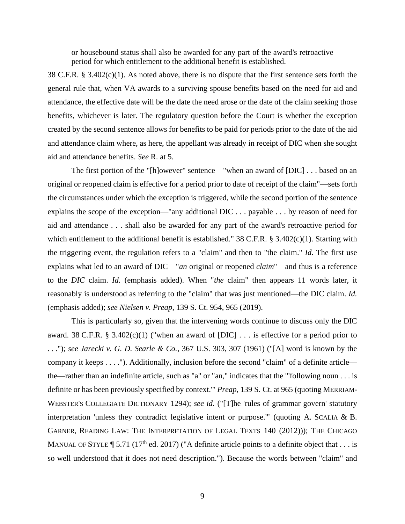or housebound status shall also be awarded for any part of the award's retroactive period for which entitlement to the additional benefit is established.

38 C.F.R.  $\S 3.402(c)(1)$ . As noted above, there is no dispute that the first sentence sets forth the general rule that, when VA awards to a surviving spouse benefits based on the need for aid and attendance, the effective date will be the date the need arose or the date of the claim seeking those benefits, whichever is later. The regulatory question before the Court is whether the exception created by the second sentence allows for benefits to be paid for periods prior to the date of the aid and attendance claim where, as here, the appellant was already in receipt of DIC when she sought aid and attendance benefits. *See* R. at 5.

The first portion of the "[h]owever" sentence—"when an award of [DIC] . . . based on an original or reopened claim is effective for a period prior to date of receipt of the claim"—sets forth the circumstances under which the exception is triggered, while the second portion of the sentence explains the scope of the exception—"any additional DIC . . . payable . . . by reason of need for aid and attendance . . . shall also be awarded for any part of the award's retroactive period for which entitlement to the additional benefit is established." 38 C.F.R. § 3.402(c)(1). Starting with the triggering event, the regulation refers to a "claim" and then to "the claim." *Id.* The first use explains what led to an award of DIC—"*an* original or reopened *claim*"—and thus is a reference to the *DIC* claim. *Id.* (emphasis added). When "*the* claim" then appears 11 words later, it reasonably is understood as referring to the "claim" that was just mentioned—the DIC claim. *Id.* (emphasis added); *see Nielsen v. Preap*, 139 S. Ct. 954, 965 (2019).

This is particularly so, given that the intervening words continue to discuss only the DIC award. 38 C.F.R. § 3.402(c)(1) ("when an award of [DIC]  $\ldots$  is effective for a period prior to . . ."); *see Jarecki v. G. D. Searle & Co.*, 367 U.S. 303, 307 (1961) ("[A] word is known by the company it keeps . . . ."). Additionally, inclusion before the second "claim" of a definite article the—rather than an indefinite article, such as "a" or "an," indicates that the "'following noun . . . is definite or has been previously specified by context.'" *Preap*, 139 S. Ct. at 965 (quoting MERRIAM-WEBSTER'S COLLEGIATE DICTIONARY 1294); *see id.* ("[T]he 'rules of grammar govern' statutory interpretation 'unless they contradict legislative intent or purpose.'" (quoting A. SCALIA & B. GARNER, READING LAW: THE INTERPRETATION OF LEGAL TEXTS 140 (2012))); THE CHICAGO MANUAL OF STYLE  $\P$  5.71 (17<sup>th</sup> ed. 2017) ("A definite article points to a definite object that . . . is so well understood that it does not need description."). Because the words between "claim" and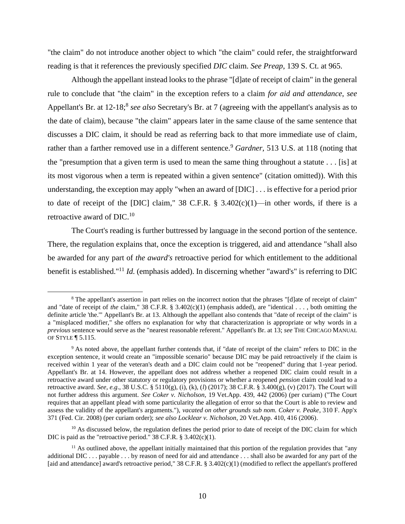"the claim" do not introduce another object to which "the claim" could refer, the straightforward reading is that it references the previously specified *DIC* claim. *See Preap*, 139 S. Ct. at 965.

Although the appellant instead looks to the phrase "[d]ate of receipt of claim" in the general rule to conclude that "the claim" in the exception refers to a claim *for aid and attendance*, *see* Appellant's Br. at 12-18;<sup>8</sup> see also Secretary's Br. at 7 (agreeing with the appellant's analysis as to the date of claim), because "the claim" appears later in the same clause of the same sentence that discusses a DIC claim, it should be read as referring back to that more immediate use of claim, rather than a farther removed use in a different sentence.<sup>9</sup> *Gardner*, 513 U.S. at 118 (noting that the "presumption that a given term is used to mean the same thing throughout a statute . . . [is] at its most vigorous when a term is repeated within a given sentence" (citation omitted)). With this understanding, the exception may apply "when an award of [DIC] . . . is effective for a period prior to date of receipt of the [DIC] claim," 38 C.F.R.  $\S$  3.402(c)(1)—in other words, if there is a retroactive award of DIC.<sup>10</sup>

The Court's reading is further buttressed by language in the second portion of the sentence. There, the regulation explains that, once the exception is triggered, aid and attendance "shall also be awarded for any part of *the award's* retroactive period for which entitlement to the additional benefit is established." <sup>11</sup> *Id.* (emphasis added). In discerning whether "award's" is referring to DIC

<sup>10</sup> As discussed below, the regulation defines the period prior to date of receipt of the DIC claim for which DIC is paid as the "retroactive period." 38 C.F.R. § 3.402(c)(1).

<sup>&</sup>lt;sup>8</sup> The appellant's assertion in part relies on the incorrect notion that the phrases "[d]ate of receipt of claim" and "date of receipt of *the* claim," 38 C.F.R. § 3.402(c)(1) (emphasis added), are "identical . . . , both omitting the definite article 'the.'" Appellant's Br. at 13. Although the appellant also contends that "date of receipt of the claim" is a "misplaced modifier," she offers no explanation for why that characterization is appropriate or why words in a *previous* sentence would serve as the "nearest reasonable referent." Appellant's Br. at 13; *see* THE CHICAGO MANUAL OF STYLE ¶ 5.115.

<sup>9</sup> As noted above, the appellant further contends that, if "date of receipt of the claim" refers to DIC in the exception sentence, it would create an "impossible scenario" because DIC may be paid retroactively if the claim is received within 1 year of the veteran's death and a DIC claim could not be "reopened" during that 1-year period. Appellant's Br. at 14. However, the appellant does not address whether a reopened DIC claim could result in a retroactive award under other statutory or regulatory provisions or whether a reopened *pension* claim could lead to a retroactive award. *See, e.g*., 38 U.S.C. § 5110(g), (i), (k), (*l*) (2017); 38 C.F.R. § 3.400(g), (v) (2017). The Court will not further address this argument. *See Coker v. Nicholson*, 19 Vet.App. 439, 442 (2006) (per curiam) ("The Court requires that an appellant plead with some particularity the allegation of error so that the Court is able to review and assess the validity of the appellant's arguments."), *vacated on other grounds sub nom. Coker v. Peake*, 310 F. App'x 371 (Fed. Cir. 2008) (per curiam order); *see also Locklear v. Nicholson*, 20 Vet.App. 410, 416 (2006).

 $11$  As outlined above, the appellant initially maintained that this portion of the regulation provides that "any additional DIC . . . payable . . . by reason of need for aid and attendance . . . shall also be awarded for any part of the [aid and attendance] award's retroactive period," 38 C.F.R. § 3.402(c)(1) (modified to reflect the appellant's proffered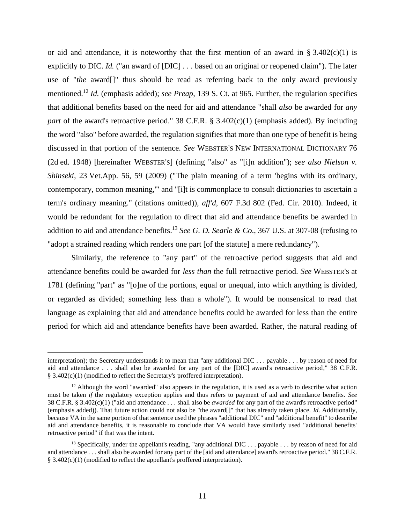or aid and attendance, it is noteworthy that the first mention of an award in § 3.402(c)(1) is explicitly to DIC. *Id.* ("an award of [DIC] . . . based on an original or reopened claim"). The later use of "*the* award[]" thus should be read as referring back to the only award previously mentioned.<sup>12</sup> *Id.* (emphasis added); *see Preap*, 139 S. Ct. at 965. Further, the regulation specifies that additional benefits based on the need for aid and attendance "shall *also* be awarded for *any part* of the award's retroactive period." 38 C.F.R. § 3.402(c)(1) (emphasis added). By including the word "also" before awarded, the regulation signifies that more than one type of benefit is being discussed in that portion of the sentence. *See* WEBSTER'S NEW INTERNATIONAL DICTIONARY 76 (2d ed. 1948) [hereinafter WEBSTER'S] (defining "also" as "[i]n addition"); *see also [Nielson v.](https://1.next.westlaw.com/Link/Document/FullText?findType=Y&serNum=2018870484&pubNum=0000463&originatingDoc=I59a4c040e81711e6b79af578703ae98c&refType=RP&fi=co_pp_sp_463_59&originationContext=document&transitionType=DocumentItem&contextData=(sc.Search)#co_pp_sp_463_59)  Shinseki*, 23 [Vet.App. 56, 59 \(2009\)](https://1.next.westlaw.com/Link/Document/FullText?findType=Y&serNum=2018870484&pubNum=0000463&originatingDoc=I59a4c040e81711e6b79af578703ae98c&refType=RP&fi=co_pp_sp_463_59&originationContext=document&transitionType=DocumentItem&contextData=(sc.Search)#co_pp_sp_463_59) ("The plain meaning of a term 'begins with its ordinary, contemporary, common meaning,'" and "[i]t is commonplace to consult dictionaries to ascertain a term's ordinary meaning." (citations omitted)), *aff'd*, 607 F.3d 802 (Fed. Cir. 2010). Indeed, it would be redundant for the regulation to direct that aid and attendance benefits be awarded in addition to aid and attendance benefits. <sup>13</sup> *See G. D. Searle & Co*., 367 U.S. at 307-08 (refusing to "adopt a strained reading which renders one part [of the statute] a mere redundancy").

Similarly, the reference to "any part" of the retroactive period suggests that aid and attendance benefits could be awarded for *less than* the full retroactive period. *See* WEBSTER'S at 1781 (defining "part" as "[o]ne of the portions, equal or unequal, into which anything is divided, or regarded as divided; something less than a whole"). It would be nonsensical to read that language as explaining that aid and attendance benefits could be awarded for less than the entire period for which aid and attendance benefits have been awarded. Rather, the natural reading of

interpretation); the Secretary understands it to mean that "any additional DIC . . . payable . . . by reason of need for aid and attendance . . . shall also be awarded for any part of the [DIC] award's retroactive period," 38 C.F.R. § 3.402(c)(1) (modified to reflect the Secretary's proffered interpretation).

 $12$  Although the word "awarded" also appears in the regulation, it is used as a verb to describe what action must be taken *if* the regulatory exception applies and thus refers to payment of aid and attendance benefits. *See*  38 C.F.R. § 3.402(c)(1) ("aid and attendance . . . shall also be *awarded* for any part of the award's retroactive period" (emphasis added)). That future action could not also be "the award[]" that has already taken place. *Id.* Additionally, because VA in the same portion of that sentence used the phrases "additional DIC" and "additional benefit" to describe aid and attendance benefits, it is reasonable to conclude that VA would have similarly used "additional benefits' retroactive period" if that was the intent.

<sup>&</sup>lt;sup>13</sup> Specifically, under the appellant's reading, "any additional DIC . . . payable . . . by reason of need for aid and attendance . . . shall also be awarded for any part of the [aid and attendance] award's retroactive period." 38 C.F.R. § 3.402(c)(1) (modified to reflect the appellant's proffered interpretation).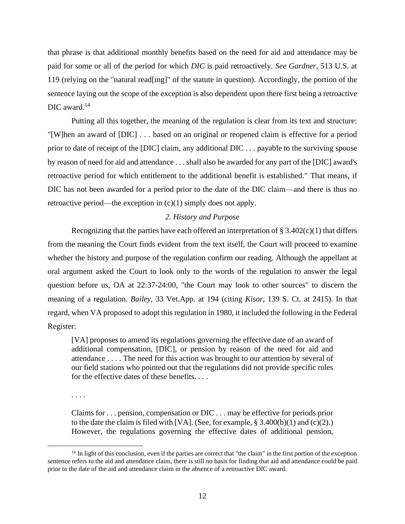that phrase is that additional monthly benefits based on the need for aid and attendance may be paid for some or all of the period for which *DIC* is paid retroactively. *See Gardner*, 513 U.S. at 119 (relying on the "natural read[ing]" of the statute in question). Accordingly, the portion of the sentence laying out the scope of the exception is also dependent upon there first being a retroactive DIC award.<sup>14</sup>

Putting all this together, the meaning of the regulation is clear from its text and structure: "[W]hen an award of [DIC] . . . based on an original or reopened claim is effective for a period prior to date of receipt of the [DIC] claim, any additional DIC . . . payable to the surviving spouse by reason of need for aid and attendance . . . shall also be awarded for any part of the [DIC] award's retroactive period for which entitlement to the additional benefit is established." That means, if DIC has not been awarded for a period prior to the date of the DIC claim—and there is thus no retroactive period—the exception in (c)(1) simply does not apply.

## *2. History and Purpose*

Recognizing that the parties have each offered an interpretation of  $\S 3.402(c)(1)$  that differs from the meaning the Court finds evident from the text itself, the Court will proceed to examine whether the history and purpose of the regulation confirm our reading. Although the appellant at oral argument asked the Court to look only to the words of the regulation to answer the legal question before us, OA at 22:37-24:00, "the Court may look to other sources" to discern the meaning of a regulation. *Bailey*, 33 Vet.App. at 194 (citing *Kisor*, 139 S. Ct. at 2415). In that regard, when VA proposed to adopt this regulation in 1980, it included the following in the Federal Register:

[VA] proposes to amend its regulations governing the effective date of an award of additional compensation, [DIC], or pension by reason of the need for aid and attendance . . . . The need for this action was brought to our attention by several of our field stations who pointed out that the regulations did not provide specific rules for the effective dates of these benefits. . . .

. . . .

Claims for . . . pension, compensation or DIC . . . may be effective for periods prior to the date the claim is filed with [VA]. (See, for example,  $\S 3.400(b)(1)$  and (c)(2).) However, the regulations governing the effective dates of additional pension,

<sup>&</sup>lt;sup>14</sup> In light of this conclusion, even if the parties are correct that "the claim" in the first portion of the exception sentence refers to the aid and attendance claim, there is still no basis for finding that aid and attendance could be paid prior to the date of the aid and attendance claim in the absence of a retroactive DIC award.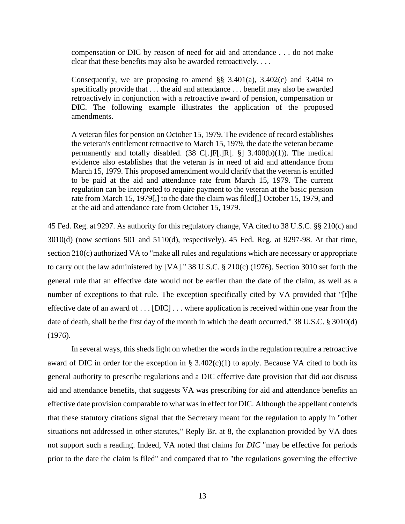compensation or DIC by reason of need for aid and attendance . . . do not make clear that these benefits may also be awarded retroactively. . . .

Consequently, we are proposing to amend  $\S$ § 3.401(a), 3.402(c) and 3.404 to specifically provide that . . . the aid and attendance . . . benefit may also be awarded retroactively in conjunction with a retroactive award of pension, compensation or DIC. The following example illustrates the application of the proposed amendments.

A veteran files for pension on October 15, 1979. The evidence of record establishes the veteran's entitlement retroactive to March 15, 1979, the date the veteran became permanently and totally disabled.  $(38 \text{ C}[\text{I}]\text{F}[\text{I}]\text{R}[\text{I} \text{S}]$  3.400(b)(1)). The medical evidence also establishes that the veteran is in need of aid and attendance from March 15, 1979. This proposed amendment would clarify that the veteran is entitled to be paid at the aid and attendance rate from March 15, 1979. The current regulation can be interpreted to require payment to the veteran at the basic pension rate from March 15, 1979[,] to the date the claim was filed[,] October 15, 1979, and at the aid and attendance rate from October 15, 1979.

45 Fed. Reg. at 9297. As authority for this regulatory change, VA cited to 38 U.S.C. §§ 210(c) and 3010(d) (now sections 501 and 5110(d), respectively). 45 Fed. Reg. at 9297-98. At that time, section 210(c) authorized VA to "make all rules and regulations which are necessary or appropriate to carry out the law administered by [VA]." 38 U.S.C. § 210(c) (1976). Section 3010 set forth the general rule that an effective date would not be earlier than the date of the claim, as well as a number of exceptions to that rule. The exception specifically cited by VA provided that "[t]he effective date of an award of . . . [DIC] . . . where application is received within one year from the date of death, shall be the first day of the month in which the death occurred." 38 U.S.C. § 3010(d) (1976).

In several ways, this sheds light on whether the words in the regulation require a retroactive award of DIC in order for the exception in §  $3.402(c)(1)$  to apply. Because VA cited to both its general authority to prescribe regulations and a DIC effective date provision that did *not* discuss aid and attendance benefits, that suggests VA was prescribing for aid and attendance benefits an effective date provision comparable to what was in effect for DIC. Although the appellant contends that these statutory citations signal that the Secretary meant for the regulation to apply in "other situations not addressed in other statutes," Reply Br. at 8, the explanation provided by VA does not support such a reading. Indeed, VA noted that claims for *DIC* "may be effective for periods prior to the date the claim is filed" and compared that to "the regulations governing the effective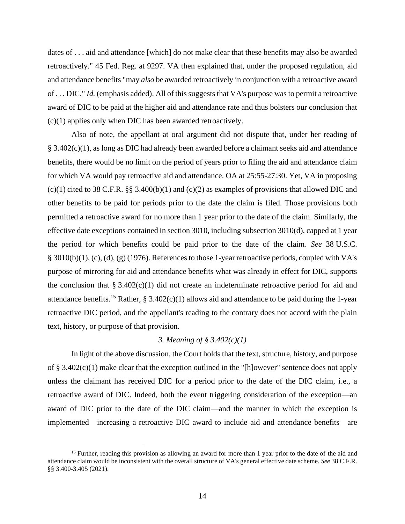dates of . . . aid and attendance [which] do not make clear that these benefits may also be awarded retroactively." 45 Fed. Reg. at 9297. VA then explained that, under the proposed regulation, aid and attendance benefits "may *also* be awarded retroactively in conjunction with a retroactive award of . . . DIC." *Id.* (emphasis added). All of this suggests that VA's purpose was to permit a retroactive award of DIC to be paid at the higher aid and attendance rate and thus bolsters our conclusion that (c)(1) applies only when DIC has been awarded retroactively.

Also of note, the appellant at oral argument did not dispute that, under her reading of § 3.402(c)(1), as long as DIC had already been awarded before a claimant seeks aid and attendance benefits, there would be no limit on the period of years prior to filing the aid and attendance claim for which VA would pay retroactive aid and attendance. OA at 25:55-27:30. Yet, VA in proposing  $(c)(1)$  cited to 38 C.F.R. §§ 3.400(b)(1) and (c)(2) as examples of provisions that allowed DIC and other benefits to be paid for periods prior to the date the claim is filed. Those provisions both permitted a retroactive award for no more than 1 year prior to the date of the claim. Similarly, the effective date exceptions contained in section 3010, including subsection 3010(d), capped at 1 year the period for which benefits could be paid prior to the date of the claim. *See* 38 U.S.C. § 3010(b)(1), (c), (d), (g) (1976). References to those 1-year retroactive periods, coupled with VA's purpose of mirroring for aid and attendance benefits what was already in effect for DIC, supports the conclusion that § 3.402(c)(1) did not create an indeterminate retroactive period for aid and attendance benefits.<sup>15</sup> Rather, § 3.402(c)(1) allows aid and attendance to be paid during the 1-year retroactive DIC period, and the appellant's reading to the contrary does not accord with the plain text, history, or purpose of that provision.

# *3. Meaning of § 3.402(c)(1)*

In light of the above discussion, the Court holds that the text, structure, history, and purpose of § 3.402(c)(1) make clear that the exception outlined in the "[h]owever" sentence does not apply unless the claimant has received DIC for a period prior to the date of the DIC claim, i.e., a retroactive award of DIC. Indeed, both the event triggering consideration of the exception—an award of DIC prior to the date of the DIC claim—and the manner in which the exception is implemented—increasing a retroactive DIC award to include aid and attendance benefits—are

<sup>&</sup>lt;sup>15</sup> Further, reading this provision as allowing an award for more than 1 year prior to the date of the aid and attendance claim would be inconsistent with the overall structure of VA's general effective date scheme. *See* 38 C.F.R. §§ 3.400-3.405 (2021).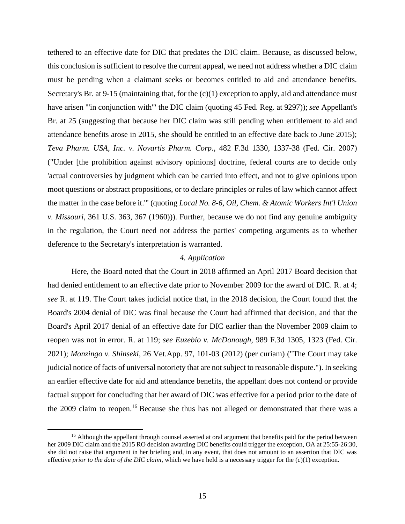tethered to an effective date for DIC that predates the DIC claim. Because, as discussed below, this conclusion is sufficient to resolve the current appeal, we need not address whether a DIC claim must be pending when a claimant seeks or becomes entitled to aid and attendance benefits. Secretary's Br. at 9-15 (maintaining that, for the  $(c)(1)$  exception to apply, aid and attendance must have arisen "'in conjunction with'" the DIC claim (quoting 45 Fed. Reg. at 9297)); *see* Appellant's Br. at 25 (suggesting that because her DIC claim was still pending when entitlement to aid and attendance benefits arose in 2015, she should be entitled to an effective date back to June 2015); *Teva Pharm. USA, Inc. v. Novartis Pharm. Corp.*, 482 F.3d 1330, 1337-38 (Fed. Cir. 2007) ("Under [the prohibition against advisory opinions] doctrine, federal courts are to decide only 'actual controversies by judgment which can be carried into effect, and not to give opinions upon moot questions or abstract propositions, or to declare principles or rules of law which cannot affect the matter in the case before it.'" (quoting *Local No. 8-6, Oil, Chem. & Atomic Workers Int'l Union v. Missouri*, 361 U.S. 363, 367 (1960))). Further, because we do not find any genuine ambiguity in the regulation, the Court need not address the parties' competing arguments as to whether deference to the Secretary's interpretation is warranted.

### *4. Application*

Here, the Board noted that the Court in 2018 affirmed an April 2017 Board decision that had denied entitlement to an effective date prior to November 2009 for the award of DIC. R. at 4; *see* R. at 119. The Court takes judicial notice that, in the 2018 decision, the Court found that the Board's 2004 denial of DIC was final because the Court had affirmed that decision, and that the Board's April 2017 denial of an effective date for DIC earlier than the November 2009 claim to reopen was not in error. R. at 119; *see Euzebio v. McDonough*, 989 F.3d 1305, 1323 (Fed. Cir. 2021); *Monzingo v. Shinseki*, 26 Vet.App. 97, 101-03 (2012) (per curiam) ("The Court may take judicial notice of facts of universal notoriety that are not subject to reasonable dispute."). In seeking an earlier effective date for aid and attendance benefits, the appellant does not contend or provide factual support for concluding that her award of DIC was effective for a period prior to the date of the 2009 claim to reopen.<sup>16</sup> Because she thus has not alleged or demonstrated that there was a

<sup>&</sup>lt;sup>16</sup> Although the appellant through counsel asserted at oral argument that benefits paid for the period between her 2009 DIC claim and the 2015 RO decision awarding DIC benefits could trigger the exception, OA at 25:55-26:30, she did not raise that argument in her briefing and, in any event, that does not amount to an assertion that DIC was effective *prior to the date of the DIC claim*, which we have held is a necessary trigger for the (c)(1) exception.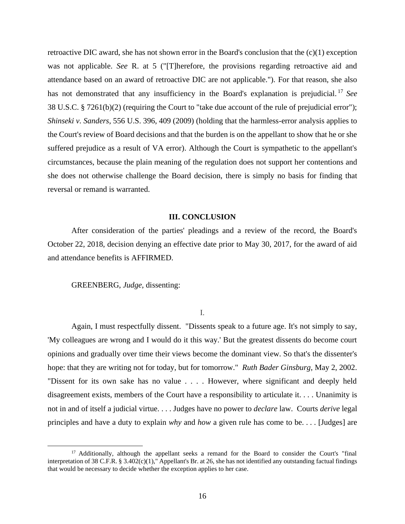retroactive DIC award, she has not shown error in the Board's conclusion that the  $(c)(1)$  exception was not applicable. *See* R. at 5 ("[T]herefore, the provisions regarding retroactive aid and attendance based on an award of retroactive DIC are not applicable."). For that reason, she also has not demonstrated that any insufficiency in the Board's explanation is prejudicial. <sup>17</sup> *See* 38 U.S.C. § 7261(b)(2) (requiring the Court to "take due account of the rule of prejudicial error"); *Shinseki v. Sanders*, 556 U.S. 396, 409 (2009) (holding that the harmless-error analysis applies to the Court's review of Board decisions and that the burden is on the appellant to show that he or she suffered prejudice as a result of VA error). Although the Court is sympathetic to the appellant's circumstances, because the plain meaning of the regulation does not support her contentions and she does not otherwise challenge the Board decision, there is simply no basis for finding that reversal or remand is warranted.

### **III. CONCLUSION**

After consideration of the parties' pleadings and a review of the record, the Board's October 22, 2018, decision denying an effective date prior to May 30, 2017, for the award of aid and attendance benefits is AFFIRMED.

GREENBERG, *Judge*, dissenting:

I.

Again, I must respectfully dissent. "Dissents speak to a future age. It's not simply to say, 'My colleagues are wrong and I would do it this way.' But the greatest dissents do become court opinions and gradually over time their views become the dominant view. So that's the dissenter's hope: that they are writing not for today, but for tomorrow." *Ruth Bader Ginsburg*, May 2, 2002. "Dissent for its own sake has no value . . . . However, where significant and deeply held disagreement exists, members of the Court have a responsibility to articulate it. . . . Unanimity is not in and of itself a judicial virtue. . . . Judges have no power to *declare* law. Courts *derive* legal principles and have a duty to explain *why* and *how* a given rule has come to be. . . . [Judges] are

<sup>&</sup>lt;sup>17</sup> Additionally, although the appellant seeks a remand for the Board to consider the Court's "final" interpretation of 38 C.F.R. § 3.402(c)(1)," Appellant's Br. at 26, she has not identified any outstanding factual findings that would be necessary to decide whether the exception applies to her case.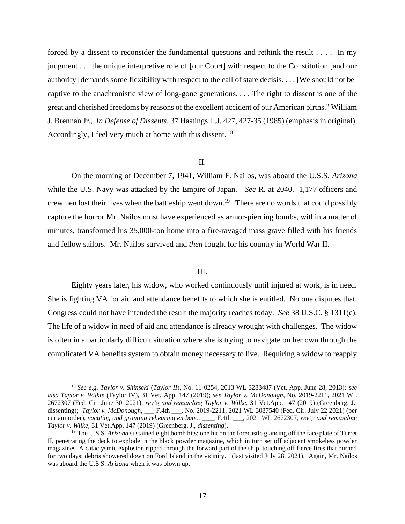forced by a dissent to reconsider the fundamental questions and rethink the result . . . . In my judgment . . . the unique interpretive role of [our Court] with respect to the Constitution [and our authority] demands some flexibility with respect to the call of stare decisis. . . . [We should not be] captive to the anachronistic view of long-gone generations. . . . The right to dissent is one of the great and cherished freedoms by reasons of the excellent accident of our American births." William J. Brennan Jr., *In Defense of Dissents*, 37 Hastings L.J. 427, 427-35 (1985) (emphasis in original). Accordingly, I feel very much at home with this dissent. <sup>18</sup>

## II.

On the morning of December 7, 1941, William F. Nailos, was aboard the U.S.S. *Arizona*  while the U.S. Navy was attacked by the Empire of Japan. *See* R. at 2040. 1,177 officers and crewmen lost their lives when the battleship went down.<sup>19</sup> There are no words that could possibly capture the horror Mr. Nailos must have experienced as armor-piercing bombs, within a matter of minutes, transformed his 35,000-ton home into a fire-ravaged mass grave filled with his friends and fellow sailors. Mr. Nailos survived and *then* fought for his country in World War II.

## III.

Eighty years later, his widow, who worked continuously until injured at work, is in need. She is fighting VA for aid and attendance benefits to which she is entitled. No one disputes that. Congress could not have intended the result the majority reaches today. *See* 38 U.S.C. § 1311(c). The life of a widow in need of aid and attendance is already wrought with challenges. The widow is often in a particularly difficult situation where she is trying to navigate on her own through the complicated VA benefits system to obtain money necessary to live. Requiring a widow to reapply

<sup>18</sup> *See e.g. Taylor v. Shinseki* (*Taylor II*), No. 11-0254, 2013 WL 3283487 (Vet. App. June 28, 2013); *see also Taylor v. Wilkie* (Taylor IV), 31 Vet. App. 147 (2019); *see Taylor v. McDonough*, No. 2019-2211, 2021 WL 2672307 (Fed. Cir. June 30, 2021), *rev'g and remanding Taylor v. Wilke*, 31 Vet.App. 147 (2019) (Greenberg, J., dissenting); *Taylor v. McDonough*, \_\_\_ F.4th \_\_\_, No. 2019-2211, 2021 WL 3087540 (Fed. Cir. July 22 2021) (per curiam order), *vacating and granting rehearing en banc*, \_\_\_\_ F.4th \_\_\_, 2021 WL 2672307, *rev'g and remanding Taylor v. Wilke*, 31 Vet.App. 147 (2019) (Greenberg, J., *dissenting*).

<sup>&</sup>lt;sup>19</sup> The U.S.S. *Arizona* sustained eight bomb hits; one hit on the forecastle glancing off the face plate of Turret II, penetrating the deck to explode in the black powder magazine, which in turn set off adjacent smokeless powder magazines. A cataclysmic explosion ripped through the forward part of the ship, touching off fierce fires that burned for two days; debris showered down on Ford Island in the vicinity. (last visited July 28, 2021). Again, Mr. Nailos was aboard the U.S.S. *Arizona* when it was blown up.